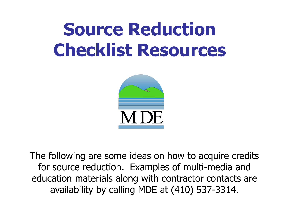# **Source Reduction Checklist Resources**



The following are some ideas on how to acquire credits for source reduction. Examples of multi-media and education materials along with contractor contacts are availability by calling MDE at (410) 537-3314.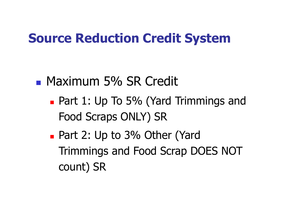## **Source Reduction Credit System**

### **Maximum 5% SR Credit**

- **Part 1: Up To 5% (Yard Trimmings and** Food Scraps ONLY) SR
- Part 2: Up to 3% Other (Yard Trimmings and Food Scrap DOES NOT count) SR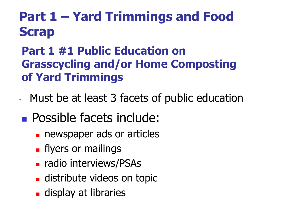## **Part 1 – Yard Trimmings and Food Scrap**

#### **Part 1 #1 Public Education on Grasscycling and/or Home Composting of Yard Trimmings**

- Must be at least 3 facets of public education
- **Possible facets include:** 
	- **newspaper ads or articles**
	- **Fi** flyers or mailings
	- **radio interviews/PSAs**
	- **distribute videos on topic**
	- **display at libraries**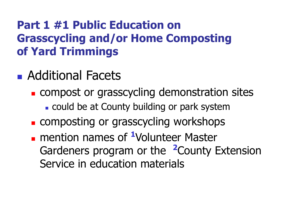#### **Part 1 #1 Public Education on Grasscycling and/or Home Composting of Yard Trimmings**

- **Additional Facets** 
	- **EXCOMPOST OF GRASSCYCLING demonstration sites** 
		- . could be at County building or park system
	- **EXCOMPOSTING OF GRASSCYCLING WORKSHOPS**
	- **n** mention names of <sup>1</sup>Volunteer Master Gardeners program or the **<sup>2</sup>**County Extension Service in education materials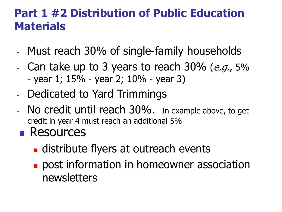#### **Part 1 #2 Distribution of Public Education Materials**

- Must reach 30% of single-family households
- Can take up to 3 years to reach  $30\%$  (*e.g.*,  $5\%$  $-$  year 1; 15% - year 2; 10% - year 3)
- Dedicated to Yard Trimmings
- No credit until reach 30%. In example above, to get credit in year 4 must reach an additional 5%
- **Resources** 
	- **distribute flyers at outreach events**
	- **post information in homeowner association** newsletters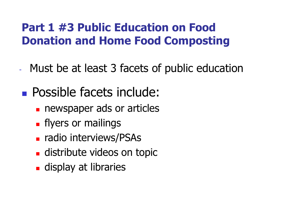#### **Part 1 #3 Public Education on Food Donation and Home Food Composting**

- Must be at least 3 facets of public education
- **Possible facets include:** 
	- **newspaper ads or articles**
	- **Fi** flyers or mailings
	- **Fadio interviews/PSAs**
	- **distribute videos on topic**
	- **display at libraries**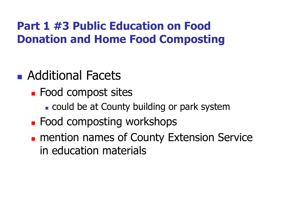#### **Part 1 #3 Public Education on Food Donation and Home Food Composting**

- **Additional Facets** 
	- **Food compost sites** 
		- could be at County building or park system
	- **EXECOM ENDING ENDING ENDING ENDING ENDING ENDING ENDING ENDING ENDING ENDING ENDING ENDING ENDING ENDING ENDING ENDING ENDING ENDING ENDING ENDING ENDING ENDING ENDING ENDIN**
	- **n** mention names of County Extension Service in education materials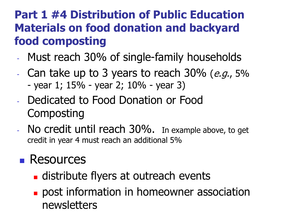#### **Part 1 #4 Distribution of Public Education Materials on food donation and backyard food composting**

- Must reach 30% of single-family households
- Can take up to 3 years to reach  $30\%$  (e.g.,  $5\%$  $-$  year 1; 15% - year 2; 10% - year 3)
- Dedicated to Food Donation or Food **Composting**
- No credit until reach 30%. In example above, to get credit in year 4 must reach an additional 5%

## **Resources**

- **distribute flyers at outreach events**
- **post information in homeowner association** newsletters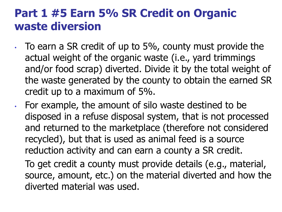#### **Part 1 #5 Earn 5% SR Credit on Organic waste diversion**

- To earn a SR credit of up to 5%, county must provide the actual weight of the organic waste (i.e., yard trimmings and/or food scrap) diverted. Divide it by the total weight of the waste generated by the county to obtain the earned SR credit up to a maximum of 5%.
- For example, the amount of silo waste destined to be disposed in a refuse disposal system, that is not processed and returned to the marketplace (therefore not considered recycled), but that is used as animal feed is a source reduction activity and can earn a county a SR credit.

To get credit a county must provide details (e.g., material, source, amount, etc.) on the material diverted and how the diverted material was used.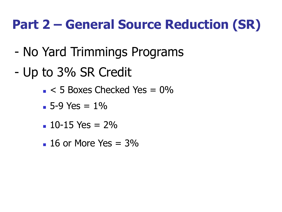## **Part 2 – General Source Reduction (SR)**

- No Yard Trimmings Programs
- Up to 3% SR Credit
	- $\sim$  5 Boxes Checked Yes = 0%
	- $-5-9$  Yes =  $1\%$
	- $10-15$  Yes =  $2\%$
	- $\blacksquare$  16 or More Yes = 3%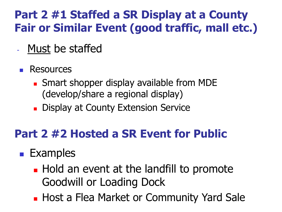#### **Part 2 #1 Staffed a SR Display at a County Fair or Similar Event (good traffic, mall etc.)**

- Must be staffed
- **Resources** 
	- **Smart shopper display available from MDE** (develop/share a regional display)
	- **Display at County Extension Service**

#### **Part 2 #2 Hosted a SR Event for Public**

#### **Examples**

- **Hold an event at the landfill to promote** Goodwill or Loading Dock
- **Host a Flea Market or Community Yard Sale**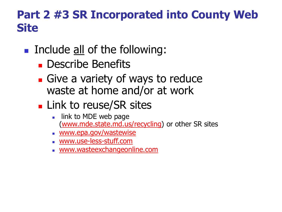#### **Part 2 #3 SR Incorporated into County Web Site**

#### Include all of the following:

- **Describe Benefits**
- **Give a variety of ways to reduce** waste at home and/or at work
- **Link to reuse/SR sites** 
	- link to MDE web page [\(www.mde.state.md.us/recycling](http://www.mde.state.md.us/recycling)) or other SR sites
	- **WWW.epa.gov/wastewise**
	- [www.use-less-stuff.com](http://www.use-less-stuff.com/)
	- [www.wasteexchangeonline.com](http://www.wasteexchangeonline.com/)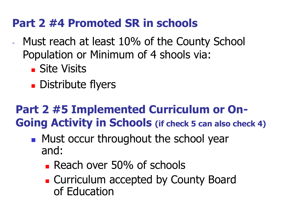#### **Part 2 #4 Promoted SR in schools**

- Must reach at least 10% of the County School Population or Minimum of 4 shools via:
	- **Site Visits**
	- **Distribute flyers**

## **Part 2 #5 Implemented Curriculum or On-Going Activity in Schools (if check 5 can also check 4)**

- **Must occur throughout the school year** and:
	- **Reach over 50% of schools**
	- **Curriculum accepted by County Board** of Education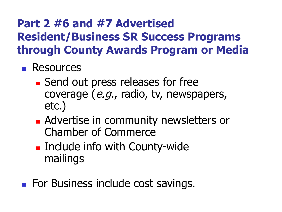#### **Part 2 #6 and #7 Advertised Resident/Business SR Success Programs through County Awards Program or Media**

- **Resources** 
	- **Send out press releases for free** coverage (e.g., radio, tv, newspapers, etc.)
	- **Advertise in community newsletters or** Chamber of Commerce
	- **Example 11 Include info with County-wide** mailings
- **For Business include cost savings.**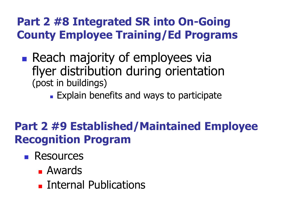#### **Part 2 #8 Integrated SR into On-Going County Employee Training/Ed Programs**

- **Reach majority of employees via** flyer distribution during orientation (post in buildings)
	- **Explain benefits and ways to participate**

#### **Part 2 #9 Established/Maintained Employee Recognition Program**

- **Resources** 
	- Awards
	- **Internal Publications**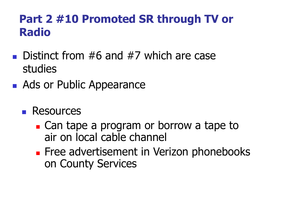#### **Part 2 #10 Promoted SR through TV or Radio**

- **Distinct from #6 and #7 which are case** studies
- Ads or Public Appearance
	- **Resources** 
		- **Can tape a program or borrow a tape to** air on local cable channel
		- **Free advertisement in Verizon phonebooks** on County Services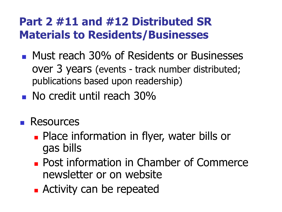#### **Part 2 #11 and #12 Distributed SR Materials to Residents/Businesses**

- **Must reach 30% of Residents or Businesses** over 3 years (events - track number distributed; publications based upon readership)
- **No credit until reach 30%**
- **Resources** 
	- **Place information in flyer, water bills or** gas bills
	- **Post information in Chamber of Commerce** newsletter or on website
	- **Activity can be repeated**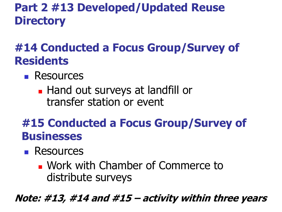### **Part 2 #13 Developed/Updated Reuse Directory**

### **#14 Conducted a Focus Group/Survey of Residents**

- **Resources** 
	- **Hand out surveys at landfill or** transfer station or event

#### **#15 Conducted a Focus Group/Survey of Businesses**

- **Resources** 
	- Work with Chamber of Commerce to distribute surveys

**Note: #13, #14 and #15 – activity within three years**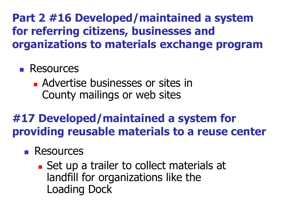**Part 2 #16 Developed/maintained a system for referring citizens, businesses and organizations to materials exchange program**

#### **Resources**

**Advertise businesses or sites in** County mailings or web sites

## **#17 Developed/maintained a system for providing reusable materials to a reuse center**

#### **Resources**

 Set up a trailer to collect materials at landfill for organizations like the Loading Dock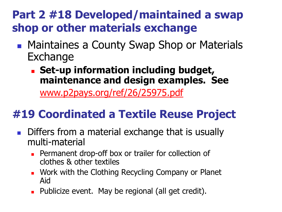#### **Part 2 #18 Developed/maintained a swap shop or other materials exchange**

- **Maintaines a County Swap Shop or Materials** Exchange
	- **Set-up information including budget, maintenance and design examples. See**

[www.p2pays.org/ref/26/25975.pdf](http://www.p2pays.org/ref/26/25975.pdf)

## **#19 Coordinated a Textile Reuse Project**

- Differs from a material exchange that is usually multi-material
	- **Permanent drop-off box or trailer for collection of** clothes & other textiles
	- **Nork with the Clothing Recycling Company or Planet** Aid
	- **Publicize event.** May be regional (all get credit).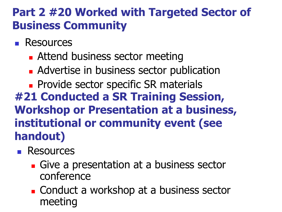#### **Part 2 #20 Worked with Targeted Sector of Business Community**

- **Resources** 
	- **Attend business sector meeting**
	- **Advertise in business sector publication**

**Provide sector specific SR materials #21 Conducted a SR Training Session, Workshop or Presentation at a business, institutional or community event (see handout)**

- **Resources** 
	- Give a presentation at a business sector conference
	- **Conduct a workshop at a business sector** meeting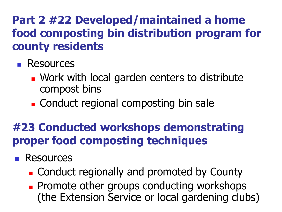#### **Part 2 #22 Developed/maintained a home food composting bin distribution program for county residents**

- **Resources** 
	- **Nork with local garden centers to distribute** compost bins
	- Conduct regional composting bin sale

### **#23 Conducted workshops demonstrating proper food composting techniques**

- **Resources** 
	- **Example 2** Conduct regionally and promoted by County
	- **Promote other groups conducting workshops** (the Extension Service or local gardening clubs)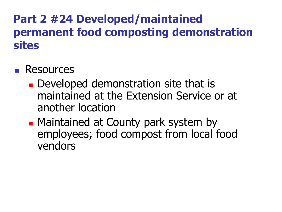#### **Part 2 #24 Developed/maintained permanent food composting demonstration sites**

#### **Resources**

- **Developed demonstration site that is** maintained at the Extension Service or at another location
- **Maintained at County park system by** employees; food compost from local food vendors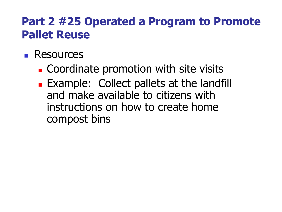#### **Part 2 #25 Operated a Program to Promote Pallet Reuse**

#### **Resources**

- **Coordinate promotion with site visits**
- **Example: Collect pallets at the landfill** and make available to citizens with instructions on how to create home compost bins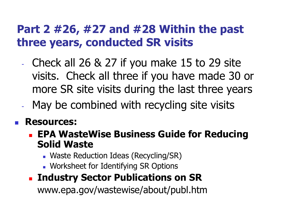#### **Part 2 #26, #27 and #28 Within the past three years, conducted SR visits**

- Check all 26 & 27 if you make 15 to 29 site visits. Check all three if you have made 30 or more SR site visits during the last three years
- May be combined with recycling site visits

#### **Resources:**

- **EPA WasteWise Business Guide for Reducing Solid Waste**
	- Waste Reduction Ideas (Recycling/SR)
	- **Norksheet for Identifying SR Options**

#### **Industry Sector Publications on SR**

www.epa.gov/wastewise/about/publ.htm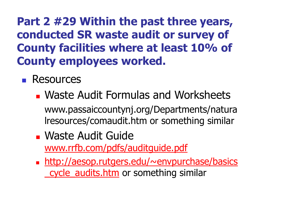**Part 2 #29 Within the past three years, conducted SR waste audit or survey of County facilities where at least 10% of County employees worked.**

- **Resources** 
	- **Waste Audit Formulas and Worksheets** www.passaiccountynj.org/Departments/natura lresources/comaudit.htm or something similar
	- Waste Audit Guide [www.rrfb.com/pdfs/auditguide.pdf](http://www.rrfb.com/pdfs/auditguide.pdf)
	- [http://aesop.rutgers.edu/~envpurchase/basics](http://aesop.rutgers.edu/~envpurchase/basics_cycle_audits.htm) cycle audits.htm or something similar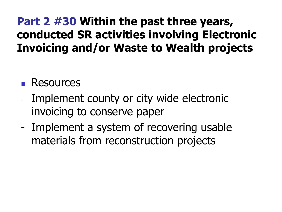#### **Part 2 #30 Within the past three years, conducted SR activities involving Electronic Invoicing and/or Waste to Wealth projects**

#### **Resources**

- Implement county or city wide electronic invoicing to conserve paper
- Implement a system of recovering usable materials from reconstruction projects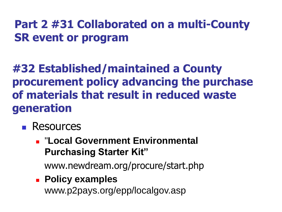#### **Part 2 #31 Collaborated on a multi-County SR event or program**

#### **#32 Established/maintained a County procurement policy advancing the purchase of materials that result in reduced waste generation**

- **Resources** 
	- "**Local Government Environmental Purchasing Starter Kit"**

www.newdream.org/procure/start.php

 **Policy examples** www.p2pays.org/epp/localgov.asp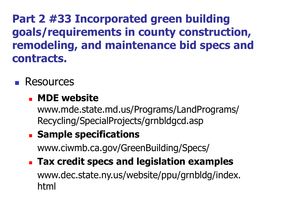**Part 2 #33 Incorporated green building goals/requirements in county construction, remodeling, and maintenance bid specs and contracts.**

**Resources** 

#### **MDE website**

www.mde.state.md.us/Programs/LandPrograms/ Recycling/SpecialProjects/grnbldgcd.asp

#### **Example specifications**

www.ciwmb.ca.gov/GreenBuilding/Specs/

 **Tax credit specs and legislation examples** www.dec.state.ny.us/website/ppu/grnbldg/index. html